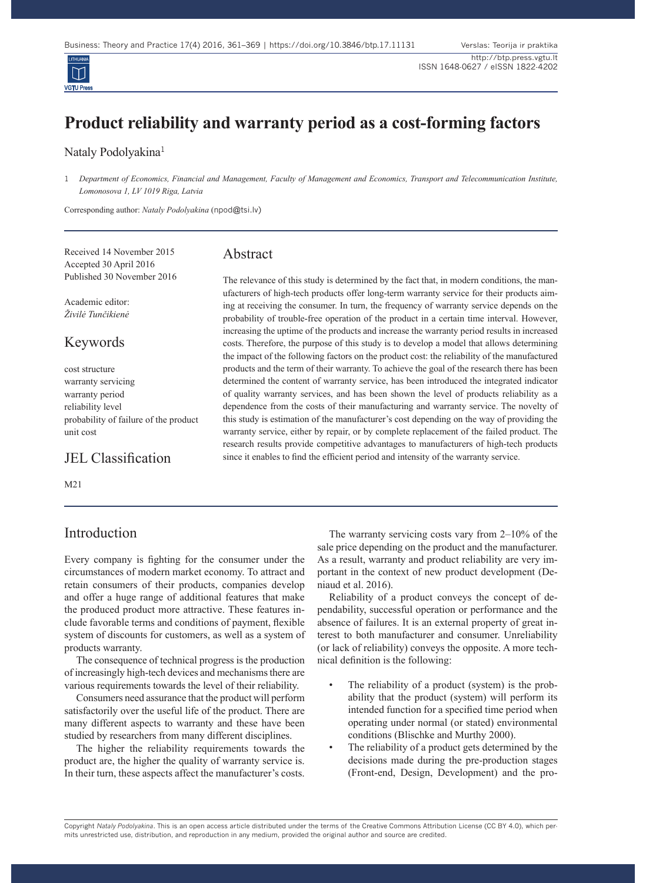# **Product reliability and warranty period as a cost-forming factors**

#### Nataly Podolyakina<sup>1</sup>

**VGTU P** 

Corresponding author: *Nataly Podolyakina* (npod@tsi.lv)

Received 14 November 2015 Accepted 30 April 2016 Published 30 November 2016

Academic editor: *Živilė Tunčikienė*

Keywords

cost structure warranty servicing warranty period reliability level probability of failure of the product unit cost

JEL Classification

M21

## Introduction

#### Abstract

The relevance of this study is determined by the fact that, in modern conditions, the manufacturers of high-tech products offer long-term warranty service for their products aiming at receiving the consumer. In turn, the frequency of warranty service depends on the probability of trouble-free operation of the product in a certain time interval. However, increasing the uptime of the products and increase the warranty period results in increased costs. Therefore, the purpose of this study is to develop a model that allows determining the impact of the following factors on the product cost: the reliability of the manufactured products and the term of their warranty. To achieve the goal of the research there has been determined the content of warranty service, has been introduced the integrated indicator of quality warranty services, and has been shown the level of products reliability as a dependence from the costs of their manufacturing and warranty service. The novelty of this study is estimation of the manufacturer's cost depending on the way of providing the warranty service, either by repair, or by complete replacement of the failed product. The research results provide competitive advantages to manufacturers of high-tech products since it enables to find the efficient period and intensity of the warranty service.

Every company is fighting for the consumer under the circumstances of modern market economy. To attract and retain consumers of their products, companies develop and offer a huge range of additional features that make the produced product more attractive. These features include favorable terms and conditions of payment, flexible system of discounts for customers, as well as a system of products warranty.

The consequence of technical progress is the production of increasingly high-tech devices and mechanisms there are various requirements towards the level of their reliability.

Consumers need assurance that the product will perform satisfactorily over the useful life of the product. There are many different aspects to warranty and these have been studied by researchers from many different disciplines.

The higher the reliability requirements towards the product are, the higher the quality of warranty service is. In their turn, these aspects affect the manufacturer's costs.

The warranty servicing costs vary from 2–10% of the sale price depending on the product and the manufacturer. As a result, warranty and product reliability are very important in the context of new product development (Deniaud et al. 2016).

Reliability of a product conveys the concept of dependability, successful operation or performance and the absence of failures. It is an external property of great interest to both manufacturer and consumer. Unreliability (or lack of reliability) conveys the opposite. A more technical definition is the following:

- The reliability of a product (system) is the probability that the product (system) will perform its intended function for a specified time period when operating under normal (or stated) environmental conditions (Blischke and Murthy 2000).
- The reliability of a product gets determined by the decisions made during the pre-production stages (Front-end, Design, Development) and the pro-

Copyright *Nataly Podolyakina*. This is an open access article distributed under the terms of the Creative Commons Attribution License (CC BY 4.0), which permits unrestricted use, distribution, and reproduction in any medium, provided the original author and source are credited.

<sup>1</sup> *Department of Economics, Financial and Management, Faculty of Management and Economics, Transport and Telecommunication Institute, Lomonosova 1, LV 1019 Riga, Latvia*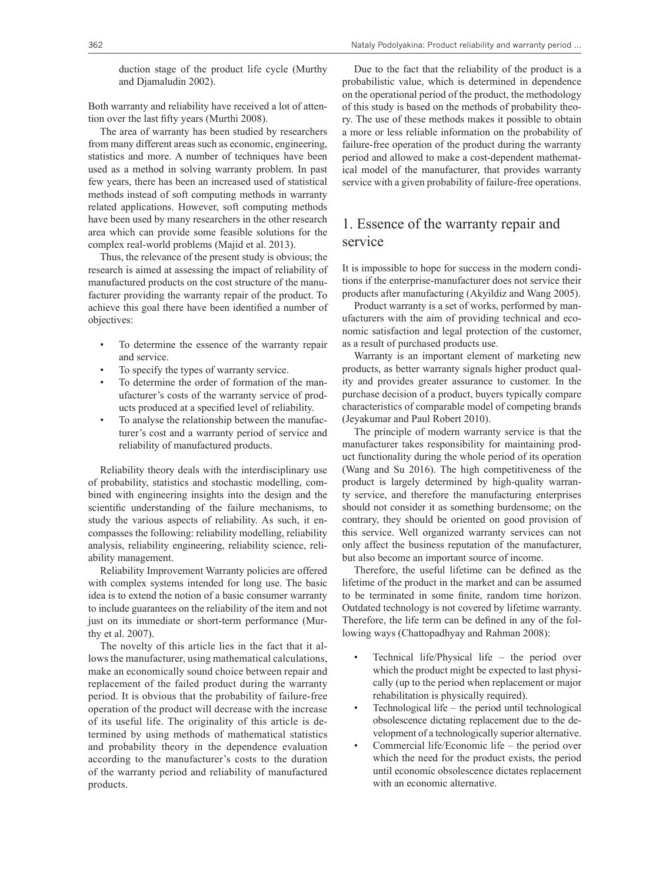duction stage of the product life cycle (Murthy and Djamaludin 2002).

Both warranty and reliability have received a lot of attention over the last fifty years (Murthi 2008).

The area of warranty has been studied by researchers from many different areas such as economic, engineering, statistics and more. A number of techniques have been used as a method in solving warranty problem. In past few years, there has been an increased used of statistical methods instead of soft computing methods in warranty related applications. However, soft computing methods have been used by many researchers in the other research area which can provide some feasible solutions for the complex real-world problems (Majid et al. 2013).

Thus, the relevance of the present study is obvious; the research is aimed at assessing the impact of reliability of manufactured products on the cost structure of the manufacturer providing the warranty repair of the product. To achieve this goal there have been identified a number of objectives:

- To determine the essence of the warranty repair and service.
- To specify the types of warranty service.
- To determine the order of formation of the manufacturer's costs of the warranty service of products produced at a specified level of reliability.
- To analyse the relationship between the manufacturer's cost and a warranty period of service and reliability of manufactured products.

Reliability theory deals with the interdisciplinary use of probability, statistics and stochastic modelling, combined with engineering insights into the design and the scientific understanding of the failure mechanisms, to study the various aspects of reliability. As such, it encompasses the following: reliability modelling, reliability analysis, reliability engineering, reliability science, reliability management.

Reliability Improvement Warranty policies are offered with complex systems intended for long use. The basic idea is to extend the notion of a basic consumer warranty to include guarantees on the reliability of the item and not just on its immediate or short-term performance (Murthy et al. 2007).

The novelty of this article lies in the fact that it allows the manufacturer, using mathematical calculations, make an economically sound choice between repair and replacement of the failed product during the warranty period. It is obvious that the probability of failure-free operation of the product will decrease with the increase of its useful life. The originality of this article is determined by using methods of mathematical statistics and probability theory in the dependence evaluation according to the manufacturer's costs to the duration of the warranty period and reliability of manufactured products.

Due to the fact that the reliability of the product is a probabilistic value, which is determined in dependence on the operational period of the product, the methodology of this study is based on the methods of probability theory. The use of these methods makes it possible to obtain a more or less reliable information on the probability of failure-free operation of the product during the warranty period and allowed to make a cost-dependent mathematical model of the manufacturer, that provides warranty service with a given probability of failure-free operations.

## 1. Essence of the warranty repair and service

It is impossible to hope for success in the modern conditions if the enterprise-manufacturer does not service their products after manufacturing (Akyildiz and Wang 2005).

Product warranty is a set of works, performed by manufacturers with the aim of providing technical and economic satisfaction and legal protection of the customer, as a result of purchased products use.

Warranty is an important element of marketing new products, as better warranty signals higher product quality and provides greater assurance to customer. In the purchase decision of a product, buyers typically compare characteristics of comparable model of competing brands (Jeyakumar and Paul Robert 2010).

The principle of modern warranty service is that the manufacturer takes responsibility for maintaining product functionality during the whole period of its operation (Wang and Su 2016). The high competitiveness of the product is largely determined by high-quality warranty service, and therefore the manufacturing enterprises should not consider it as something burdensome; on the contrary, they should be oriented on good provision of this service. Well organized warranty services can not only affect the business reputation of the manufacturer, but also become an important source of income.

Therefore, the useful lifetime can be defined as the lifetime of the product in the market and can be assumed to be terminated in some finite, random time horizon. Outdated technology is not covered by lifetime warranty. Therefore, the life term can be defined in any of the following ways (Chattopadhyay and Rahman 2008):

- Technical life/Physical life the period over which the product might be expected to last physically (up to the period when replacement or major rehabilitation is physically required).
- Technological life the period until technological obsolescence dictating replacement due to the development of a technologically superior alternative.
- Commercial life/Economic life the period over which the need for the product exists, the period until economic obsolescence dictates replacement with an economic alternative.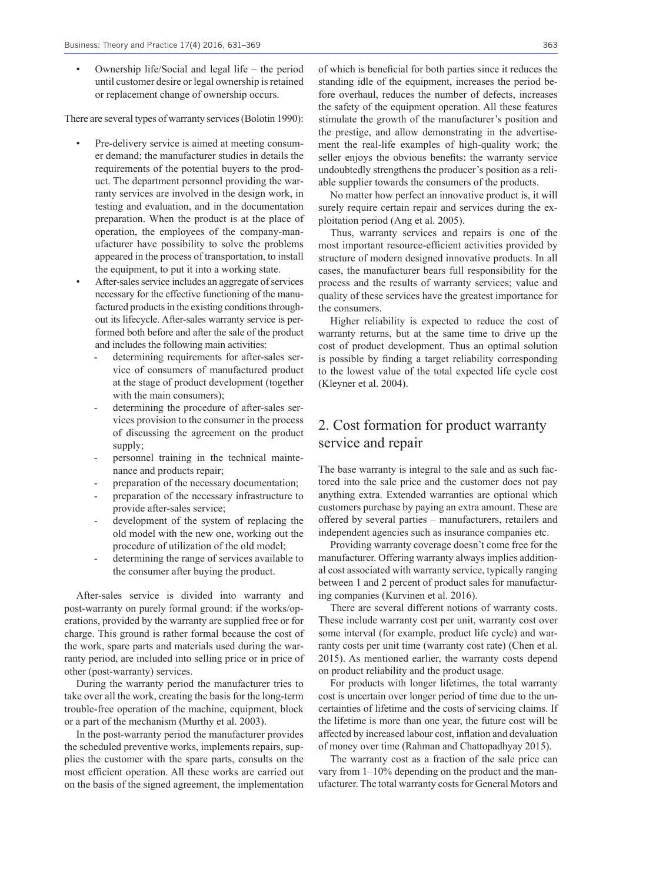• Ownership life/Social and legal life – the period until customer desire or legal ownership is retained or replacement change of ownership occurs.

There are several types of warranty services (Bolotin 1990):

- Pre-delivery service is aimed at meeting consumer demand; the manufacturer studies in details the requirements of the potential buyers to the product. The department personnel providing the warranty services are involved in the design work, in testing and evaluation, and in the documentation preparation. When the product is at the place of operation, the employees of the company-manufacturer have possibility to solve the problems appeared in the process of transportation, to install the equipment, to put it into a working state.
- After-sales service includes an aggregate of services necessary for the effective functioning of the manufactured products in the existing conditions throughout its lifecycle. After-sales warranty service is performed both before and after the sale of the product and includes the following main activities:
	- determining requirements for after-sales service of consumers of manufactured product at the stage of product development (together with the main consumers);
	- determining the procedure of after-sales services provision to the consumer in the process of discussing the agreement on the product supply;
	- personnel training in the technical maintenance and products repair;
	- preparation of the necessary documentation;
	- preparation of the necessary infrastructure to provide after-sales service;
	- development of the system of replacing the old model with the new one, working out the procedure of utilization of the old model;
	- determining the range of services available to the consumer after buying the product.

After-sales service is divided into warranty and post-warranty on purely formal ground: if the works/operations, provided by the warranty are supplied free or for charge. This ground is rather formal because the cost of the work, spare parts and materials used during the warranty period, are included into selling price or in price of other (post-warranty) services.

During the warranty period the manufacturer tries to take over all the work, creating the basis for the long-term trouble-free operation of the machine, equipment, block or a part of the mechanism (Murthy et al. 2003).

In the post-warranty period the manufacturer provides the scheduled preventive works, implements repairs, supplies the customer with the spare parts, consults on the most efficient operation. All these works are carried out on the basis of the signed agreement, the implementation

of which is beneficial for both parties since it reduces the standing idle of the equipment, increases the period before overhaul, reduces the number of defects, increases the safety of the equipment operation. All these features stimulate the growth of the manufacturer's position and the prestige, and allow demonstrating in the advertisement the real-life examples of high-quality work; the seller enjoys the obvious benefits: the warranty service undoubtedly strengthens the producer's position as a reliable supplier towards the consumers of the products.

No matter how perfect an innovative product is, it will surely require certain repair and services during the exploitation period (Ang et al. 2005).

Thus, warranty services and repairs is one of the most important resource-efficient activities provided by structure of modern designed innovative products. In all cases, the manufacturer bears full responsibility for the process and the results of warranty services; value and quality of these services have the greatest importance for the consumers.

Higher reliability is expected to reduce the cost of warranty returns, but at the same time to drive up the cost of product development. Thus an optimal solution is possible by finding a target reliability corresponding to the lowest value of the total expected life cycle cost (Kleyner et al. 2004).

## 2. Cost formation for product warranty service and repair

The base warranty is integral to the sale and as such factored into the sale price and the customer does not pay anything extra. Extended warranties are optional which customers purchase by paying an extra amount. These are offered by several parties – manufacturers, retailers and independent agencies such as insurance companies etc.

Providing warranty coverage doesn't come free for the manufacturer. Offering warranty always implies additional cost associated with warranty service, typically ranging between 1 and 2 percent of product sales for manufacturing companies (Kurvinen et al. 2016).

There are several different notions of warranty costs. These include warranty cost per unit, warranty cost over some interval (for example, product life cycle) and warranty costs per unit time (warranty cost rate) (Chen et al. 2015). As mentioned earlier, the warranty costs depend on product reliability and the product usage.

For products with longer lifetimes, the total warranty cost is uncertain over longer period of time due to the uncertainties of lifetime and the costs of servicing claims. If the lifetime is more than one year, the future cost will be affected by increased labour cost, inflation and devaluation of money over time (Rahman and Chattopadhyay 2015).

The warranty cost as a fraction of the sale price can vary from 1–10% depending on the product and the manufacturer. The total warranty costs for General Motors and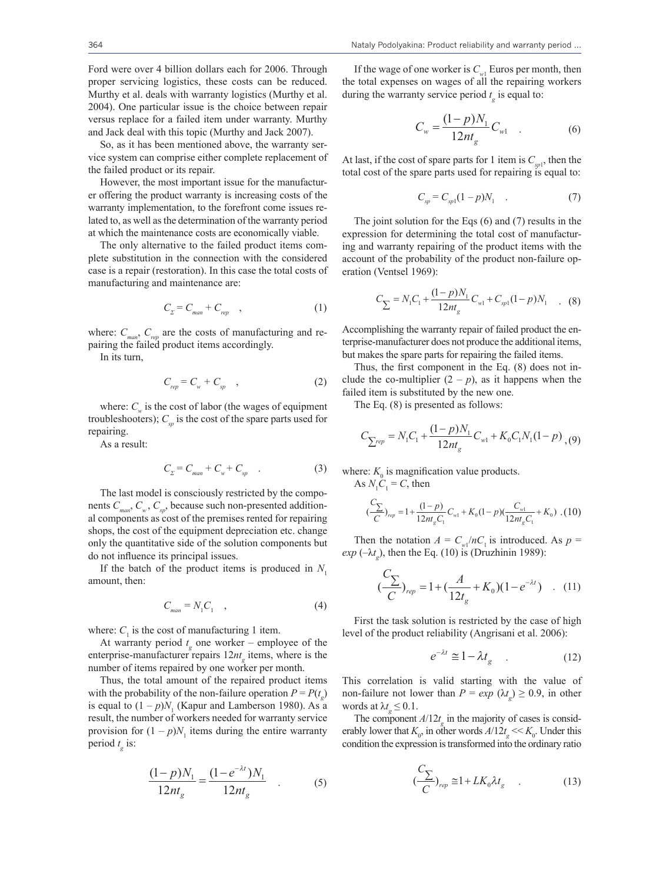Ford were over 4 billion dollars each for 2006. Through proper servicing logistics, these costs can be reduced. Murthy et al. deals with warranty logistics (Murthy et al. 2004). One particular issue is the choice between repair versus replace for a failed item under warranty. Murthy and Jack deal with this topic (Murthy and Jack 2007).

So, as it has been mentioned above, the warranty service system can comprise either complete replacement of the failed product or its repair.

However, the most important issue for the manufacturer offering the product warranty is increasing costs of the warranty implementation, to the forefront come issues related to, as well as the determination of the warranty period at which the maintenance costs are economically viable.

The only alternative to the failed product items complete substitution in the connection with the considered case is a repair (restoration). In this case the total costs of manufacturing and maintenance are:

$$
C_{\Sigma} = C_{\text{man}} + C_{\text{rep}} \quad , \tag{1}
$$

where:  $C_{man}$ ,  $C_{ren}$  are the costs of manufacturing and repairing the failed product items accordingly.

In its turn,

$$
C_{rep} = C_w + C_{sp} \quad , \tag{2}
$$

where:  $C_w$  is the cost of labor (the wages of equipment troubleshooters);  $C_{sp}$  is the cost of the spare parts used for repairing.

As a result:

$$
C_{\Sigma} = C_{\text{man}} + C_{\text{w}} + C_{\text{sp}} \quad . \tag{3}
$$

The last model is consciously restricted by the components  $C_{\textit{man}}$ ,  $C_{\textit{w}}$ ,  $C_{\textit{sp}}$ , because such non-presented additional components as cost of the premises rented for repairing shops, the cost of the equipment depreciation etc. change only the quantitative side of the solution components but do not influence its principal issues.

If the batch of the product items is produced in  $N_1$ amount, then:

$$
C_{\text{man}} = N_1 C_1 \quad , \tag{4}
$$

where:  $C_1$  is the cost of manufacturing 1 item.

At warranty period  $t_g$  one worker – employee of the enterprise-manufacturer repairs  $12nt<sub>g</sub>$  items, where is the number of items repaired by one worker per month.

Thus, the total amount of the repaired product items with the probability of the non-failure operation  $P = P(t_g)$ is equal to  $(1 - p)N$ , (Kapur and Lamberson 1980). As a result, the number of workers needed for warranty service provision for  $(1 - p)N_1$  items during the entire warranty period  $t_g$  is:

$$
\frac{(1-p)N_1}{12nt_g} = \frac{(1-e^{-\lambda t})N_1}{12nt_g} \quad . \tag{5}
$$

If the wage of one worker is  $C_{w1}$  Euros per month, then the total expenses on wages of all the repairing workers during the warranty service period  $t_g$  is equal to:

$$
C_w = \frac{(1-p)N_1}{12nt_g}C_{w1}
$$
 (6)

At last, if the cost of spare parts for 1 item is  $C_{\text{spl}}$ , then the total cost of the spare parts used for repairing is equal to:

$$
C_{sp} = C_{sp1}(1-p)N_1 . \t\t(7)
$$

The joint solution for the Eqs (6) and (7) results in the expression for determining the total cost of manufacturing and warranty repairing of the product items with the account of the probability of the product non-failure operation (Ventsel 1969):

$$
C_{\sum} = N_1 C_1 + \frac{(1-p)N_1}{12nt_g} C_{w1} + C_{sp1}(1-p)N_1 \quad . \quad (8)
$$

Accomplishing the warranty repair of failed product the enterprise-manufacturer does not produce the additional items, but makes the spare parts for repairing the failed items.

Thus, the first component in the Eq. (8) does not include the co-multiplier  $(2 - p)$ , as it happens when the failed item is substituted by the new one.

The Eq. (8) is presented as follows:

$$
C_{\sum^{rep}} = N_1 C_1 + \frac{(1-p)N_1}{12nt_g} C_{w1} + K_0 C_1 N_1 (1-p) (9)
$$

where:  $K_0$  is magnification value products.

As  $N_1C_1 = C$ , then

$$
\frac{C_{\sum}}{C}_{rep} = 1 + \frac{(1-p)}{12nt_{g}C_{1}}C_{w1} + K_{0}(1-p)(\frac{C_{w1}}{12nt_{g}C_{1}} + K_{0})
$$
 (10)

Then the notation  $A = C_{wl}/nC_1$  is introduced. As  $p =$  $exp(-\lambda t_g)$ , then the Eq. (10) is (Druzhinin 1989):

$$
(\frac{C_{\sum}}{C})_{rep} = 1 + (\frac{A}{12t_g} + K_0)(1 - e^{-\lambda t}) \quad . \quad (11)
$$

First the task solution is restricted by the case of high level of the product reliability (Angrisani et al. 2006):

$$
e^{-\lambda t} \cong 1 - \lambda t_g \quad . \tag{12}
$$

This correlation is valid starting with the value of non-failure not lower than  $P = exp (\lambda t_g) \ge 0.9$ , in other words at  $\lambda t_{\rm g} \leq 0.1$ .

The component  $A/12t_g$  in the majority of cases is considerably lower that  $K_0$ , in other words  $A/12t_g \ll K_0$ . Under this condition the expression is transformed into the ordinary ratio

$$
\left(\frac{C_{\sum}}{C}\right)_{rep} \cong 1 + L K_0 \lambda t_g \qquad . \tag{13}
$$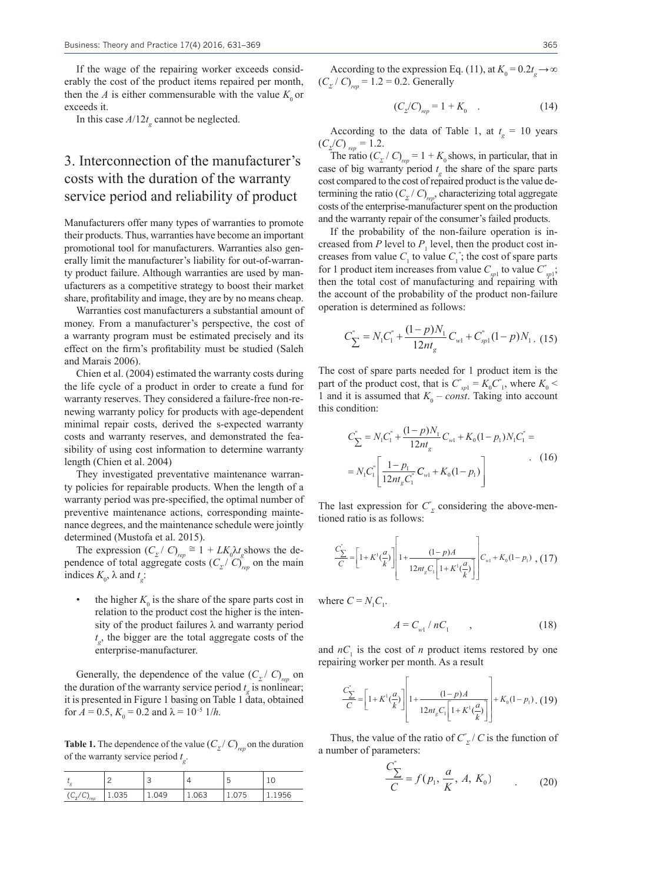If the wage of the repairing worker exceeds considerably the cost of the product items repaired per month, then the *A* is either commensurable with the value  $K_0$  or exceeds it.

In this case  $A/12t<sub>g</sub>$  cannot be neglected.

# 3. Interconnection of the manufacturer's costs with the duration of the warranty service period and reliability of product

Manufacturers offer many types of warranties to promote their products. Thus, warranties have become an important promotional tool for manufacturers. Warranties also generally limit the manufacturer's liability for out-of-warranty product failure. Although warranties are used by manufacturers as a competitive strategy to boost their market share, profitability and image, they are by no means cheap.

Warranties cost manufacturers a substantial amount of money. From a manufacturer's perspective, the cost of a warranty program must be estimated precisely and its effect on the firm's profitability must be studied (Saleh and Marais 2006).

Chien et al. (2004) estimated the warranty costs during the life cycle of a product in order to create a fund for warranty reserves. They considered a failure-free non-renewing warranty policy for products with age-dependent minimal repair costs, derived the s-expected warranty costs and warranty reserves, and demonstrated the feasibility of using cost information to determine warranty length (Chien et al. 2004)

They investigated preventative maintenance warranty policies for repairable products. When the length of a warranty period was pre-specified, the optimal number of preventive maintenance actions, corresponding maintenance degrees, and the maintenance schedule were jointly determined (Mustofa et al. 2015).

The expression  $(C_{\Sigma}/C)_{rep} \cong 1 + L K_0 \lambda t_g$  shows the dependence of total aggregate costs  $(C_{\Sigma}/C)_{ren}^{\delta}$  on the main indices  $K_0$ ,  $\lambda$  and  $t_g$ :

the higher  $K_0$  is the share of the spare parts cost in relation to the product cost the higher is the intensity of the product failures  $\lambda$  and warranty period  $t_{g}$ , the bigger are the total aggregate costs of the enterprise-manufacturer.

Generally, the dependence of the value  $(C_{\Sigma}/C)_{ren}$  on the duration of the warranty service period  $t_g$  is nonlinear; it is presented in Figure 1 basing on Table 1 data, obtained for  $A = 0.5$ ,  $K_0 = 0.2$  and  $\lambda = 10^{-5}$  1/*h*.

**Table 1.** The dependence of the value  $(C_{\Sigma}/C)_{\text{rep}}$  on the duration of the warranty service period *t g* .

|                        |       | ╺<br>◡ |       |       | ∸      |
|------------------------|-------|--------|-------|-------|--------|
| $(C_{\Sigma}/C)_{rep}$ | 1.035 | 049. د | 1.063 | 1.075 | 1.1956 |

According to the expression Eq. (11), at  $K_0 = 0.2t_g \rightarrow \infty$  $(C_{\Sigma}/C)_{rep} = 1.2 = 0.2$ . Generally

$$
(C_2/C)_{rep} = 1 + K_0 \t . \t (14)
$$

According to the data of Table 1, at  $t_g = 10$  years  $(C_{\rm Z}/C)_{\rm rep} = 1.2.$ 

The ratio  $(C_{\Sigma}/C)_{\text{rep}} = 1 + K_0$  shows, in particular, that in case of big warranty period  $t_g$  the share of the spare parts cost compared to the cost of repaired product is the value determining the ratio  $(C_{\Sigma}/C)_{\text{rep}}$ , characterizing total aggregate costs of the enterprise-manufacturer spent on the production and the warranty repair of the consumer's failed products.

If the probability of the non-failure operation is increased from  $P$  level to  $P_1$  level, then the product cost increases from value  $C_1$  to value  $C_1^r$ ; the cost of spare parts for 1 product item increases from value  $C_{\text{spl}}$  to value  $C_{\text{spl}}^*$ ; then the total cost of manufacturing and repairing with the account of the probability of the product non-failure operation is determined as follows:

$$
C_{\sum}^{"}=N_1C_1^{"}+\frac{(1-p)N_1}{12nt_g}C_{w1}+C_{sp1}^{"}(1-p)N_1.
$$
 (15)

The cost of spare parts needed for 1 product item is the part of the product cost, that is  $C_{\text{spl}}^{\prime} = K_0 C_{\text{Pl}}^{\prime}$ , where  $K_0 <$ 1 and it is assumed that  $K_0$  – *const*. Taking into account this condition:

$$
C_{\sum}^{v} = N_1 C_1^{v} + \frac{(1 - p)N_1}{12nt_g} C_{w1} + K_0 (1 - p_1) N_1 C_1^{v} =
$$
  
=  $N_1 C_1^{v} \left[ \frac{1 - p_1}{12nt_g C_1^{v}} C_{w1} + K_0 (1 - p_1) \right]$  (16)

The last expression for  $C^{\prime}_{\Sigma}$  considering the above-mentioned ratio is as follows:

$$
\frac{C_{\sum}}{C} = \left[1 + K^{1}(\frac{a}{k})\right] \left[1 + \frac{(1-p)A}{12n t_{g} C_{1} \left[1 + K^{1}(\frac{a}{k})\right]}\right] C_{w1} + K_{0}(1-p_{1}) , (17)
$$

where  $C = N_1 C_1$ .

$$
A = C_{w1} / nC_1 \tag{18}
$$

and  $nC_1$  is the cost of *n* product items restored by one repairing worker per month. As a result

$$
\frac{C_{\sum}}{C} = \left[1 + K^{1}(\frac{a}{k})\right] \left[1 + \frac{(1-p)A}{12m_{g}C_{1}\left[1 + K^{1}(\frac{a}{k})\right]}\right] + K_{0}(1-p_{1}). \tag{19}
$$

Thus, the value of the ratio of  $C^{\prime}_{\mathcal{Z}}/C$  is the function of a number of parameters:

$$
\frac{C_{\sum}}{C} = f(p_1, \frac{a}{K}, A, K_0) \tag{20}
$$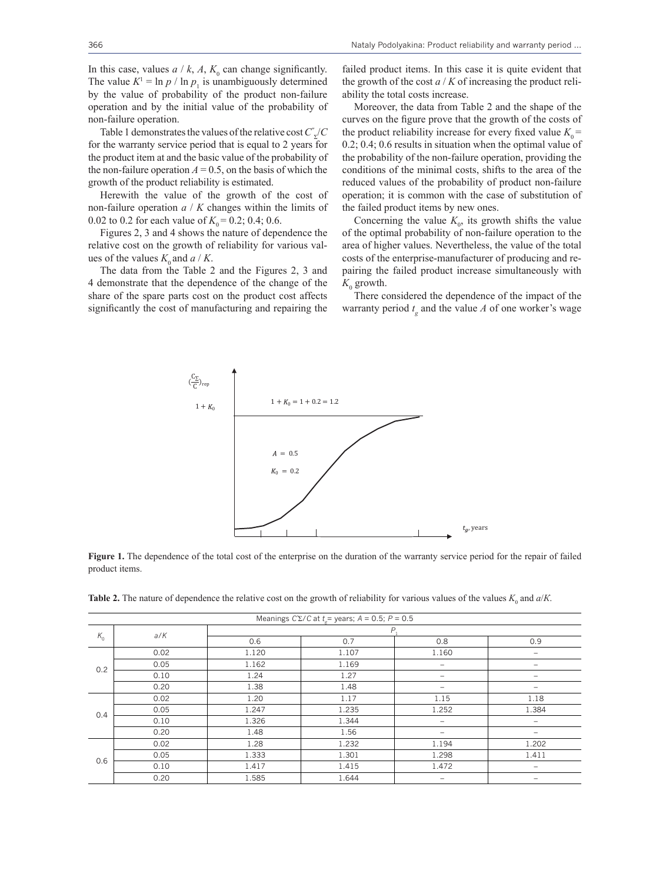In this case, values  $a \mid k$ ,  $A$ ,  $K_0$  can change significantly. The value  $K^1 = \ln p / \ln p_1$  is unambiguously determined by the value of probability of the product non-failure operation and by the initial value of the probability of non-failure operation.

Table 1 demonstrates the values of the relative cost *C"* <sup>Σ</sup>/*C*  for the warranty service period that is equal to 2 years for the product item at and the basic value of the probability of the non-failure operation  $A = 0.5$ , on the basis of which the growth of the product reliability is estimated.

Herewith the value of the growth of the cost of non-failure operation *a* / *K* changes within the limits of 0.02 to 0.2 for each value of  $K_0 = 0.2$ ; 0.4; 0.6.

Figures 2, 3 and 4 shows the nature of dependence the relative cost on the growth of reliability for various values of the values  $K_0$  and  $a / K$ .

The data from the Table 2 and the Figures 2, 3 and 4 demonstrate that the dependence of the change of the share of the spare parts cost on the product cost affects significantly the cost of manufacturing and repairing the failed product items. In this case it is quite evident that the growth of the cost  $a / K$  of increasing the product reliability the total costs increase.

Moreover, the data from Table 2 and the shape of the curves on the figure prove that the growth of the costs of the product reliability increase for every fixed value  $K_0$  = 0.2; 0.4; 0.6 results in situation when the optimal value of the probability of the non-failure operation, providing the conditions of the minimal costs, shifts to the area of the reduced values of the probability of product non-failure operation; it is common with the case of substitution of the failed product items by new ones.

Concerning the value  $K_0$ , its growth shifts the value of the optimal probability of non-failure operation to the area of higher values. Nevertheless, the value of the total costs of the enterprise-manufacturer of producing and repairing the failed product increase simultaneously with  $K_0$  growth.

There considered the dependence of the impact of the warranty period  $t_g$  and the value *A* of one worker's wage



**Figure 1.** The dependence of the total cost of the enterprise on the duration of the warranty service period for the repair of failed product items.

| Meanings $C\Sigma/C$ at $t =$ years; $A = 0.5$ ; $P = 0.5$ |      |       |       |       |       |  |  |  |
|------------------------------------------------------------|------|-------|-------|-------|-------|--|--|--|
| $K_{\rm o}$                                                | a/K  | $P$ . |       |       |       |  |  |  |
|                                                            |      | 0.6   | 0.7   | 0.8   | 0.9   |  |  |  |
| 0.2                                                        | 0.02 | 1.120 | 1.107 | 1.160 | -     |  |  |  |
|                                                            | 0.05 | 1.162 | 1.169 |       |       |  |  |  |
|                                                            | 0.10 | 1.24  | 1.27  |       |       |  |  |  |
|                                                            | 0.20 | 1.38  | 1.48  |       |       |  |  |  |
| 0.4                                                        | 0.02 | 1.20  | 1.17  | 1.15  | 1.18  |  |  |  |
|                                                            | 0.05 | 1.247 | 1.235 | 1.252 | 1.384 |  |  |  |
|                                                            | 0.10 | 1.326 | 1.344 |       |       |  |  |  |
|                                                            | 0.20 | 1.48  | 1.56  | -     |       |  |  |  |
| 0.6                                                        | 0.02 | 1.28  | 1.232 | 1.194 | 1.202 |  |  |  |
|                                                            | 0.05 | 1.333 | 1.301 | 1.298 | 1.411 |  |  |  |
|                                                            | 0.10 | 1.417 | 1.415 | 1.472 |       |  |  |  |
|                                                            | 0.20 | 1.585 | 1.644 | -     | -     |  |  |  |

**Table 2.** The nature of dependence the relative cost on the growth of reliability for various values of the values  $K_0$  and  $a/K$ .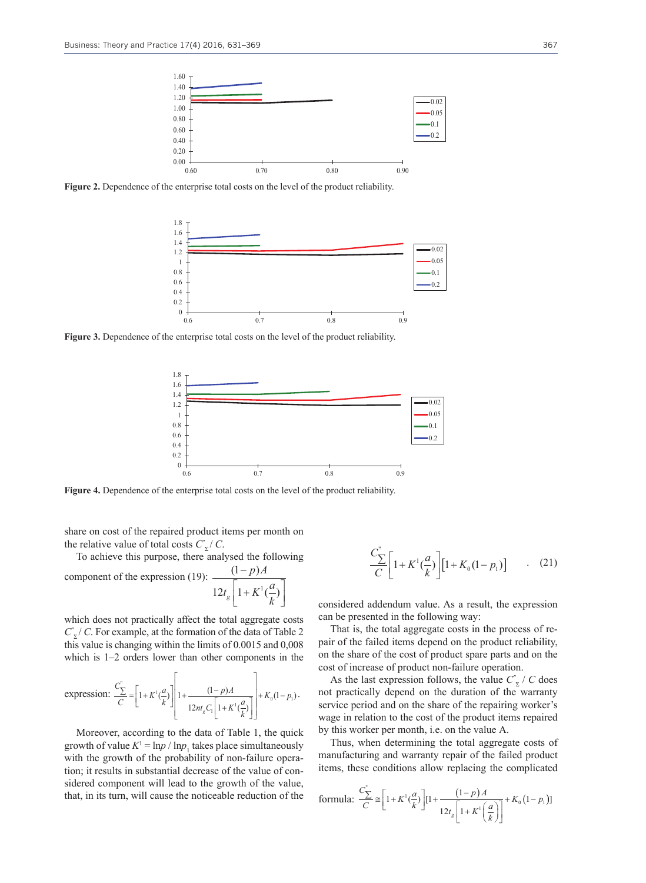

Figure 2. Dependence of the enterprise total costs on the level of the product reliability.



Figure 3. Dependence of the enterprise total costs on the level of the product reliability.



**Figure 4.** Dependence of the enterprise total costs on the level of the product reliability.

share on cost of the repaired product items per month on the relative value of total costs  $C_{\Sigma}^{\prime}/C$ .

To achieve this purpose, there analysed the following

component of the expression (19): 
$$
\frac{(1-p)A}{12t_g \left[1 + K^1(\frac{a}{k})\right]}
$$

which does not practically affect the total aggregate costs *C"* <sup>Σ</sup>/ *C*. For example, at the formation of the data of Table 2 this value is changing within the limits of 0.0015 and 0,008 which is 1–2 orders lower than other components in the

expression: 
$$
\frac{C_{\sum}^{n}}{C} = \left[1 + K^{1}(\frac{a}{k})\right] \left[1 + \frac{(1-p)A}{12m_{g}C_{1}\left[1 + K^{1}(\frac{a}{k})\right]}\right] + K_{0}(1-p_{1}).
$$

Moreover, according to the data of Table 1, the quick growth of value  $K^1 = \ln p / \ln p_1$  takes place simultaneously with the growth of the probability of non-failure operation; it results in substantial decrease of the value of considered component will lead to the growth of the value, that, in its turn, will cause the noticeable reduction of the

$$
\frac{C_{\sum}^{n}}{C} \left[ 1 + K^{1} \left( \frac{a}{k} \right) \right] \left[ 1 + K_{0} (1 - p_{1}) \right] \tag{21}
$$

considered addendum value. As a result, the expression can be presented in the following way:

That is, the total aggregate costs in the process of repair of the failed items depend on the product reliability, on the share of the cost of product spare parts and on the cost of increase of product non-failure operation.

As the last expression follows, the value  $C^{\prime}_{\Sigma}$  / *C* does not practically depend on the duration of the warranty service period and on the share of the repairing worker's wage in relation to the cost of the product items repaired by this worker per month, i.e. on the value А.

Thus, when determining the total aggregate costs of manufacturing and warranty repair of the failed product items, these conditions allow replacing the complicated

formula: 
$$
\frac{C_{\sum}}{C} \approx \left[1 + K'(\frac{a}{k})\right] \left[1 + \frac{(1-p)A}{12t_s\left[1 + K'(\frac{a}{k})\right]} + K_0(1-p_1)\right]
$$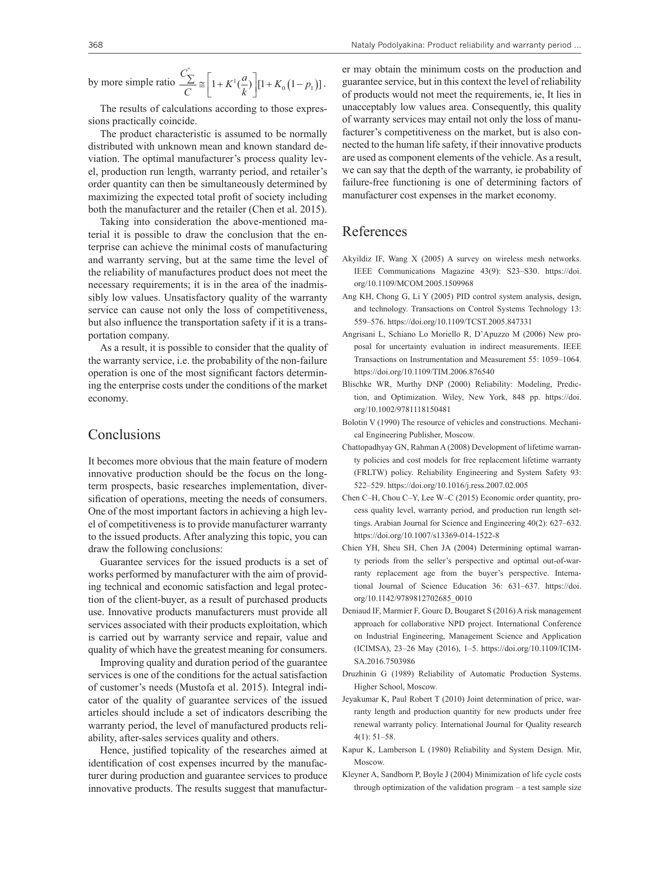by more simple ratio 
$$
\frac{C_{\sum}^{n}}{C} \approx \left[1 + K^{1}(\frac{a}{k})\right] \left[1 + K_{0}\left(1 - p_{1}\right)\right].
$$

The results of calculations according to those expressions practically coincide.

The product characteristic is assumed to be normally distributed with unknown mean and known standard deviation. The optimal manufacturer's process quality level, production run length, warranty period, and retailer's order quantity can then be simultaneously determined by maximizing the expected total profit of society including both the manufacturer and the retailer (Chen et al. 2015).

Taking into consideration the above-mentioned material it is possible to draw the conclusion that the enterprise can achieve the minimal costs of manufacturing and warranty serving, but at the same time the level of the reliability of manufactures product does not meet the necessary requirements; it is in the area of the inadmissibly low values. Unsatisfactory quality of the warranty service can cause not only the loss of competitiveness, but also influence the transportation safety if it is a transportation company.

As a result, it is possible to consider that the quality of the warranty service, i.e. the probability of the non-failure operation is one of the most significant factors determining the enterprise costs under the conditions of the market economy.

#### Conclusions

It becomes more obvious that the main feature of modern innovative production should be the focus on the longterm prospects, basic researches implementation, diversification of operations, meeting the needs of consumers. One of the most important factors in achieving a high level of competitiveness is to provide manufacturer warranty to the issued products. After analyzing this topic, you can draw the following conclusions:

Guarantee services for the issued products is a set of works performed by manufacturer with the aim of providing technical and economic satisfaction and legal protection of the client-buyer, as a result of purchased products use. Innovative products manufacturers must provide all services associated with their products exploitation, which is carried out by warranty service and repair, value and quality of which have the greatest meaning for consumers.

Improving quality and duration period of the guarantee services is one of the conditions for the actual satisfaction of customer's needs (Mustofa et al. 2015). Integral indicator of the quality of guarantee services of the issued articles should include a set of indicators describing the warranty period, the level of manufactured products reliability, after-sales services quality and others.

Hence, justified topicality of the researches aimed at identification of cost expenses incurred by the manufacturer during production and guarantee services to produce innovative products. The results suggest that manufacturer may obtain the minimum costs on the production and guarantee service, but in this context the level of reliability of products would not meet the requirements, ie, It lies in unacceptably low values area. Consequently, this quality of warranty services may entail not only the loss of manufacturer's competitiveness on the market, but is also connected to the human life safety, if their innovative products are used as component elements of the vehicle. As a result, we can say that the depth of the warranty, ie probability of failure-free functioning is one of determining factors of manufacturer cost expenses in the market economy.

## References

- Akyildiz IF, Wang X (2005) A survey on wireless mesh networks. IEEE Communications Magazine 43(9): S23–S30. https://doi. org/10.1109/MCOM.2005.1509968
- Ang KH, Chong G, Li Y (2005) PID control system analysis, design, and technology. Transactions on Control Systems Technology 13: 559–576. https://doi.org/10.1109/TCST.2005.847331
- Angrisani L, Schiano Lo Moriello R, D'Apuzzo M (2006) New proposal for uncertainty evaluation in indirect measurements. IEEE Transactions on Instrumentation and Measurement 55: 1059–1064. https://doi.org/10.1109/TIM.2006.876540
- Blischke WR, Murthy DNP (2000) Reliability: Modeling, Prediction, and Optimization. Wiley, New York, 848 pp. https://doi. org/10.1002/9781118150481
- Bolotin V (1990) The resource of vehicles and constructions. Mechanical Engineering Publisher, Moscow.
- Chattopadhyay GN, Rahman A (2008) Development of lifetime warranty policies and cost models for free replacement lifetime warranty (FRLTW) policy. Reliability Engineering and System Safety 93: 522–529. https://doi.org/10.1016/j.ress.2007.02.005
- Chen C–H, Chou C–Y, Lee W–C (2015) Economic order quantity, process quality level, warranty period, and production run length settings. Arabian Journal for Science and Engineering 40(2): 627–632. https://doi.org/10.1007/s13369-014-1522-8
- Chien YH, Sheu SH, Chen JA (2004) Determining optimal warranty periods from the seller's perspective and optimal out-of-warranty replacement age from the buyer's perspective. International Journal of Science Education 36: 631–637. https://doi. org/10.1142/9789812702685\_0010
- Deniaud IF, Marmier F, Gourc D, Bougaret S (2016) A risk management approach for collaborative NPD project. International Conference on Industrial Engineering, Management Science and Application (ICIMSA), 23–26 May (2016), 1–5. https://doi.org/10.1109/ICIM-SA.2016.7503986
- Druzhinin G (1989) Reliability of Automatic Production Systems. Higher School, Moscow.
- Jeyakumar K, Paul Robert T (2010) Joint determination of price, warranty length and production quantity for new products under free renewal warranty policy. International Journal for Quality research  $4(1): 51-58$
- Kapur K, Lamberson L (1980) Reliability and System Design. Mir, Moscow.
- Kleyner A, Sandborn P, Boyle J (2004) Minimization of life cycle costs through optimization of the validation program – a test sample size